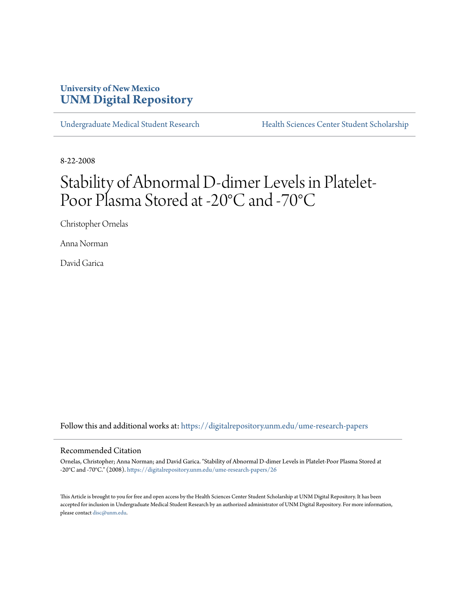## **University of New Mexico [UNM Digital Repository](https://digitalrepository.unm.edu?utm_source=digitalrepository.unm.edu%2Fume-research-papers%2F26&utm_medium=PDF&utm_campaign=PDFCoverPages)**

[Undergraduate Medical Student Research](https://digitalrepository.unm.edu/ume-research-papers?utm_source=digitalrepository.unm.edu%2Fume-research-papers%2F26&utm_medium=PDF&utm_campaign=PDFCoverPages) [Health Sciences Center Student Scholarship](https://digitalrepository.unm.edu/hsc-students?utm_source=digitalrepository.unm.edu%2Fume-research-papers%2F26&utm_medium=PDF&utm_campaign=PDFCoverPages)

8-22-2008

# Stability of Abnormal D-dimer Levels in Platelet-Poor Plasma Stored at -20°C and -70°C

Christopher Ornelas

Anna Norman

David Garica

Follow this and additional works at: [https://digitalrepository.unm.edu/ume-research-papers](https://digitalrepository.unm.edu/ume-research-papers?utm_source=digitalrepository.unm.edu%2Fume-research-papers%2F26&utm_medium=PDF&utm_campaign=PDFCoverPages)

#### Recommended Citation

Ornelas, Christopher; Anna Norman; and David Garica. "Stability of Abnormal D-dimer Levels in Platelet-Poor Plasma Stored at -20°C and -70°C." (2008). [https://digitalrepository.unm.edu/ume-research-papers/26](https://digitalrepository.unm.edu/ume-research-papers/26?utm_source=digitalrepository.unm.edu%2Fume-research-papers%2F26&utm_medium=PDF&utm_campaign=PDFCoverPages)

This Article is brought to you for free and open access by the Health Sciences Center Student Scholarship at UNM Digital Repository. It has been accepted for inclusion in Undergraduate Medical Student Research by an authorized administrator of UNM Digital Repository. For more information, please contact [disc@unm.edu.](mailto:disc@unm.edu)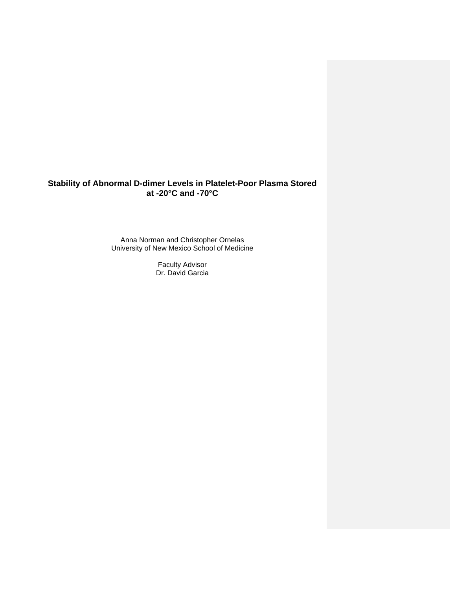### **Stability of Abnormal D-dimer Levels in Platelet-Poor Plasma Stored at -20°C and -70°C**

Anna Norman and C hristopher Ornelas University of New Mex ico School of Medicine

> Faculty Advisor Dr. David Garcia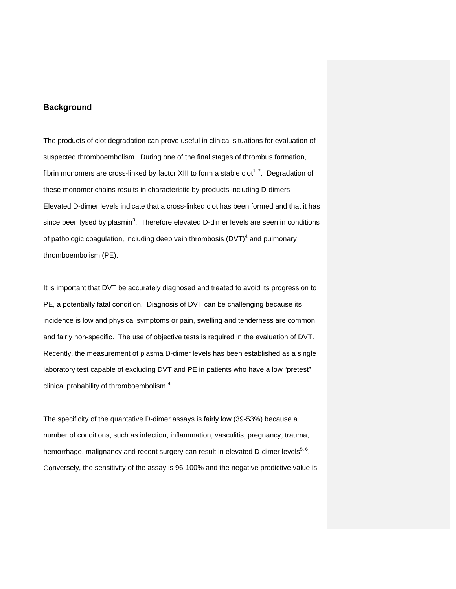#### **Background**

The products of clot degradation can prove useful in clinical situations for evaluation of suspected thromboembolism. During one of the final stages of thrombus formation, fibrin monomers are cross-linked by factor XIII to form a stable clot<sup>1, 2</sup>. Degradation of thes e monomer chains results in characteristic by-products including D-dimers. Elevated D-dimer levels indicate that a cross-linked clot has been formed and that it has since been lysed by plasmin<sup>3</sup>. Therefore elevated D-dimer levels are seen in conditions of pathologic coagulation, including deep vein thrombosis (DVT)<sup>4</sup> and pulmonary thro mboembolism (PE).

It is important that DVT be accurately diagnosed and treated to avoid its progression to PE , a potentially fatal condition. Diagnosis of DVT can be challenging because its incidence is low and physical symptoms or pain, swelling and tenderness are common and fairly non-specific. The use of objective tests is required in the evaluation of DVT. Rec ently, the measurement of plasma D-dimer levels has been established as a single laboratory test capable of excluding DVT and PE in patients who have a low "pretest" clinical probability of thromboembolism.<sup>4</sup>

The specificity of the quantative D-dimer assays is fairly low (39-53%) because a num ber of conditions, such as infection, inflammation, vasculitis, pregnancy, trauma, hemorrhage, malignancy and recent surgery can result in elevated D-dimer levels<sup>5, 6</sup>. Co nversely, the sensitivity of the assay is 96-100% and the negative predictive value is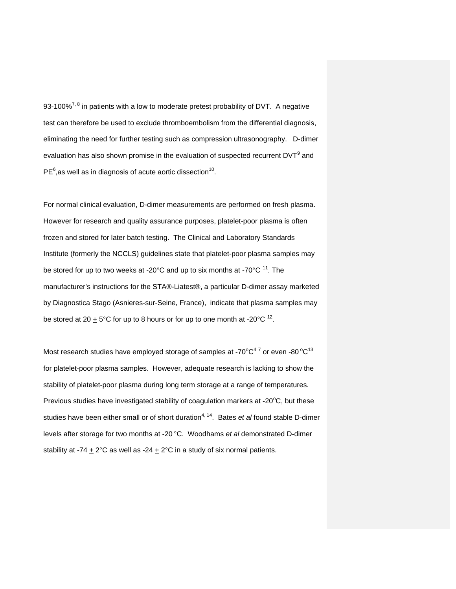93-100%<sup>7, 8</sup> in patients with a low to moderate pretest probability of DVT. A negative test can therefore be used to exclude thromboembolism from the differential diagnosis, eliminating the need for further testing such as compression ultrasonography. D-dimer evaluation has also shown promise in the evaluation of suspected recurrent DVT $^9$  and  $PE<sup>6</sup>$ , as well as in diagnosis of acute aortic dissection<sup>10</sup>.

For normal clinical evaluation, D-dimer measurements are performed on fresh plasma. However for research and quality assurance purposes, platelet-poor plasma is often frozen and stored for later batch testing. The Clinical and Laboratory Standards Ins titute (formerly the NCCLS) guidelines state that platelet-poor plasma samples may be stored for up to two weeks at -20°C and up to six months at -70°C  $^{11}$ . The manufacturer's instructions for the STA®-Liatest®, a particular D-dimer assay marketed by Diagnostica Stago (Asnieres-sur-Seine, France), indicate that plasma samples may be stored at 20  $\pm$  5°C for up to 8 hours or for up to one month at -20°C  $^{12}$ .

Most research studies have employed storage of samples at -70 $\mathrm{^oC^4}^7$  or even -80  $\mathrm{^oC^1}^3$ stability of platelet-poor plasma during long term storage at a range of temperatures. Previous studies have investigated stability of coagulation markers at -20 $\mathrm{^{\circ}C}$ , but these for platelet-poor plasma samples. However, adequate research is lacking to show the studies have been either small or of short duration<sup>4, 14</sup>. Bates *et al* found stable D-dimer leve ls after storage for two months at -20 °C. Woodhams *et al* demonstrated D-dimer stability at -74  $\pm$  2°C as well as -24  $\pm$  2°C in a study of six normal patients.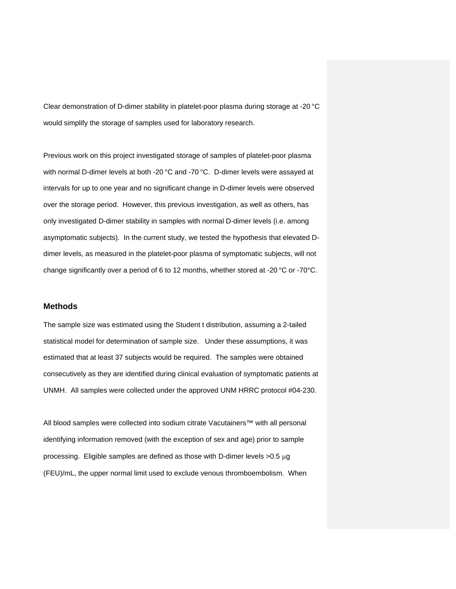Clear demonstration of D-dimer stability in platelet-poor plasma during storage at -20 °C would simplify the storage of samples used for laboratory research.

Pre vious work on this project investigated storage of samples of platelet-poor plasma with normal D-dimer levels at both -20 °C and -70 °C. D-dimer levels were assayed at inte rvals for up to one year and no significant change in D-dimer levels were observed over the storage period. However, this previous investigation, as well as others, has onl y investigated D-dimer stability in samples with normal D-dimer levels (i.e. among asy mptomatic subjects). In the current study, we tested the hypothesis that elevated Ddim er levels, as measured in the platelet-poor plasma of symptomatic subjects, will not cha nge significantly over a period of 6 to 12 months, whether stored at -20 °C or -70°C.

#### **Methods**

The sample size was estimated using the Student t distribution, assuming a 2-tailed sta tistical model for determination of sample size. Under these assumptions, it was estimated that at least 37 subjects would be required. The samples were obtained consecutively as they are identified during clinical evaluation of symptomatic patients at UNMH. All samples were collected under the approved UNM HRRC protocol #04-230.

All blood samples were collected into sodium citrate Vacutainers™ with all personal identifying information removed (with the exception of sex and age) prior to sample processing. Eligible samples are defined as those with D-dimer levels  $>0.5 \mu g$ (FE U)/mL, the upper normal limit used to exclude venous thromboembolism. When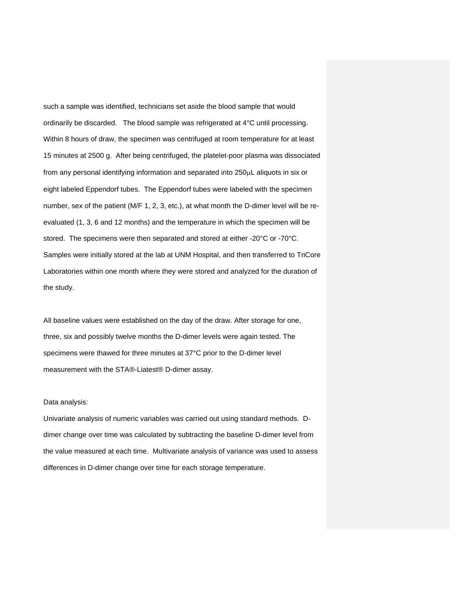such a sample was identified, technicians set aside the blood sample that would ordinarily be discarded. The blood sample was refrigerated at 4°C until processing. Wit hin 8 hours of draw, the specimen was centrifuged at room temperature for at least 15 minutes at 2500 g. After being centrifuged, the platelet-poor plasma was dissociated from any personal identifying information and separated into 250μL aliquots in six or eig ht labeled Eppendorf tubes. The Eppendorf tubes were labeled with the specimen number, sex of the patient (M/F 1, 2, 3, etc.), at what month the D-dimer level will be reeva luated (1, 3, 6 and 12 months) and the temperature in which the specimen will be sto red. The specimens were then separated and stored at either -20°C or -70°C. Sam ples were initially stored at the lab at UNM Hospital, and then transferred to TriCore Lab oratories within one month where they were stored and analyzed for the duration of the study.

All baseline values were established on the day of the draw. After storage for one, thre e, six and possibly twelve months the D-dimer levels were again tested. The specimens were thawed for three minutes at 37°C prior to the D-dimer level measurement with the STA®-Liatest® D-dimer assay.

#### Dat a analysis:

Un ivariate analysis of numeric variables was carried out using standard methods. Ddimer change over time was calculated by subtracting the baseline D-dimer level from the value measured at each time. Multivariate analysis of variance was used to assess diff erences in D-dimer change over time for each storage temperature.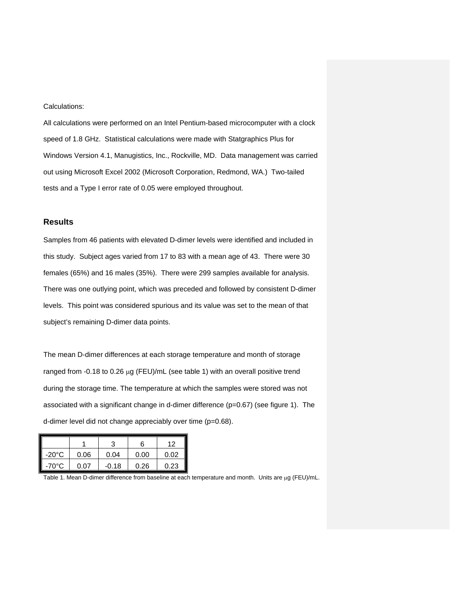#### Calculations:

All calculations were performed on an Intel Pentium-based microcomputer with a clock speed of 1.8 GHz. Statistical calculations were made with Statgraphics Plus for Win dows Version 4.1, Manugistics, Inc., Rockville, MD. Data management was carried out using Microsoft Excel 2002 (Microsoft Corporation, Redmond, WA.) Two-tailed tests and a Type I error rate of 0.05 were employed throughout.

#### **Re sults**

Samples from 46 patients with elevated D-dimer levels were identified and included in this study. Subject ages varied from 17 to 83 with a mean age of 43. There were 30 females (65%) and 16 males (35%). There were 299 samples available for analysis. There was one outlying point, which was preceded and followed by consistent D-dimer lev els. This point was considered spurious and its value was set to the mean of that sub ject's remaining D-dimer data points.

The m ean D-dimer differences at each storage temperature and month of storage ranged from -0.18 to 0.26 μg (FEU)/mL (see table 1) with an overall positive trend dur ing the storage time. The temperature at which the samples were stored was not associated with a significant change in d-dimer difference ( $p=0.67$ ) (see figure 1). The d-dimer level did not change appreciably over time (p=0.68).

|                 |      |         | 6    | 12   |
|-----------------|------|---------|------|------|
| $-20^{\circ}$ C | 0.06 | 0.04    | 0.00 | 0.02 |
| $-70^{\circ}$ C | በ በ7 | $-0.18$ | 0.26 | 0.23 |

Table 1. Mean D-dimer difference from baseline at each temperature and month. Units are μg (FEU)/mL.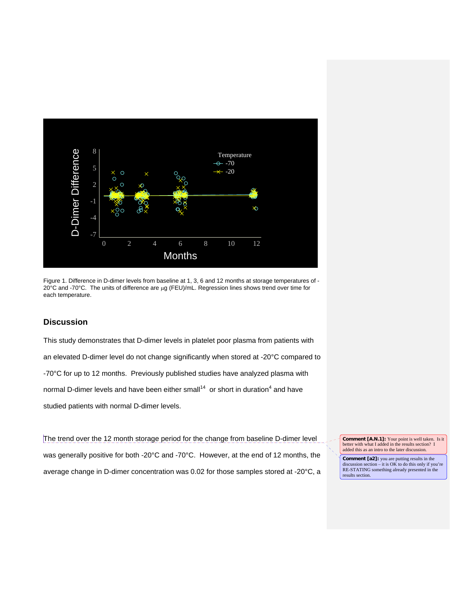

Fig ure 1. Difference in D-dimer levels from baseline at 1, 3, 6 and 12 months at storage temperatures of - 20°C a nd -70°C. The units of difference are μg (FEU)/mL. Regression lines shows trend over time for each temperature.

#### **Disc ussion**

This study demonstrates that D-dimer levels in platelet poor plasma from patients with an elevated D-dimer level do not change significantly when stored at -20°C compared to -70°C for up to 12 months. Previously published studies have analyzed plasma with normal D-dimer levels and have been either small<sup>14</sup> or short in duration<sup>4</sup> and have studied patients with normal D-dimer levels.

The trend over the 12 month storage period for the change from baseline D-dimer level was generally positive for both -20°C and -70°C. However, at the end of 12 months, the ave rage change in D-dimer concentration was 0.02 for those samples stored at -20°C, a **Comment [A.N.1]:** Your point is well taken. Is it better with what I added in the results section? I added this as an intro to the later discussion.

**Comment [a2]:** you are putting results in the discussion section – it is OK to do this only if you're RE-STATING something already presented in the results section.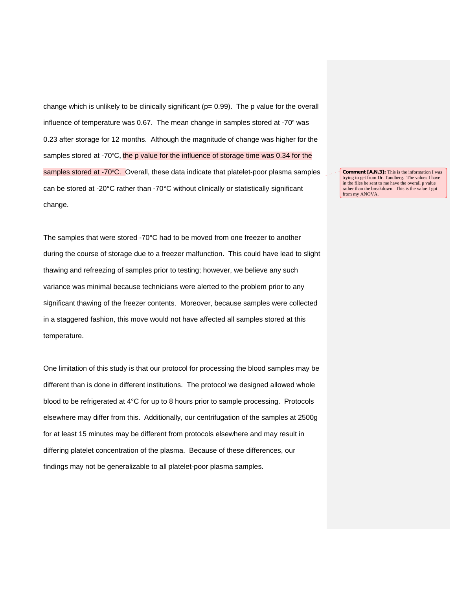change which is unlikely to be clinically significant ( $p= 0.99$ ). The p value for the overall influence of temperature was 0.67. The mean change in samples stored at -70º was 0.23 after storage for 12 months. Although the magnitude of change was higher for the samples stored at -70°C, the p value for the influence of storage time was 0.34 for the samples stored at -70°C. Overall, these data indicate that platelet-poor plasma samples can be stored at -20°C rather than -70°C without clinically or statistically significant change.

**Comment [A.N.3]:** This is the information I was trying to get from Dr. Tandberg. T he values I have in the files he sent to me have the overall p value rather than the breakdown. This is the value I got from my ANOVA.

The samples that were stored -70°C had to be moved from one freezer to another during the course of storage due to a freezer malfunction. This could have lead to slight thawing and refreezing of samples prior to testing; however, we believe any such variance was minimal because technicians were alerted to the problem prior to any sig nificant thawing of the freezer contents. Moreover, because samples were collected in a staggered fashion, this move would not have affected all samples stored at this tem perature.

One limitation of this study is that our protocol for processing the blood samples may be diff erent than is done in different institutions. The protocol we designed allowed whole blood to be refrigerated at 4°C for up to 8 hours prior to sample processing. Protocols elsewhere may differ from this. Additionally, our centrifugation of the samples at 2500g for at least 15 minutes may be different from protocols elsewhere and may result in differing platelet concentration of the plasma. Because of these differences, our find ings may not be generalizable to all platelet-poor plasma samples.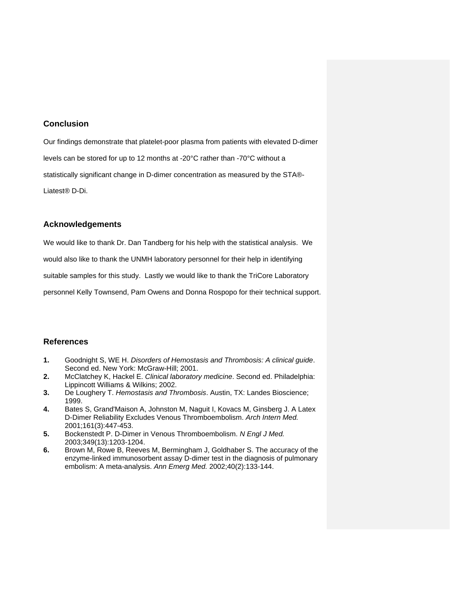#### **Conclusion**

Our findings demonstrate that platelet-poor plasma from patients with elevated D-dimer levels can be stored for up to 12 months at -20 $^{\circ}$ C rather than -70 $^{\circ}$ C without a sta tistically significant change in D-dimer concentration as measured by the STA®- Liatest® D-Di.

#### **Ac knowledgements**

We would like to thank Dr. Dan Tandberg for his help with the statistical analysis. We

would also like to thank the UNMH laboratory personnel for their help in identifying

suitable samples for this study. Lastly we would like to thank the TriCore Laboratory

personnel Kelly Townsend, Pam Owens and Donna Rospopo for their technical support.

#### **Re ferences**

- **1.** Goodnight S, WE H. *Disorders of Hemostasis and Thrombosis: A clinical guide*. Second ed. New York: McGraw-Hill; 2001.
- **2.** McClatchey K, Hackel E. *Clinical laboratory medicine*. Second ed. Philadelphia: Lippincott Williams & Wilkins; 2002.
- **3.** De Loughery T. *Hemostasis and Thrombosis*. Austin, TX: Landes Bioscience; 1999.
- **4.** Bates S, Grand'Maison A, Johnston M, Naguit I, Kovacs M, Ginsberg J. A Latex D-Dimer Reliability Excludes Venous Thromboembolism. *Arch Intern Med.*  2001;161(3):447-453.
- **5.** Bockenstedt P. D-Dimer in Venous Thromboembolism. N Engl J Med. 2003;349(13):1203-1204.
- **6.** Brown M, Rowe B, Reeves M, Bermingham J, Goldhaber S. The accuracy of the enzy me-linked immunosorbent assay D-dimer test in the diagnosis of pulmonary embolism: A meta-analysis. *Ann Emerg Med.* 2002;40(2):133-144.